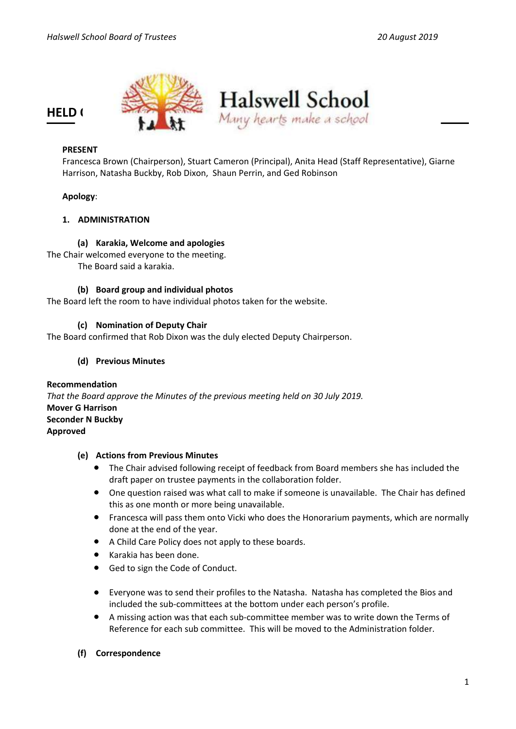

### **PRESENT**

Francesca Brown (Chairperson), Stuart Cameron (Principal), Anita Head (Staff Representative), Giarne Harrison, Natasha Buckby, Rob Dixon, Shaun Perrin, and Ged Robinson

#### **Apology**:

### **1. ADMINISTRATION**

# **(a) Karakia, Welcome and apologies**

The Chair welcomed everyone to the meeting. The Board said a karakia.

**(b) Board group and individual photos** The Board left the room to have individual photos taken for the website.

# **(c) Nomination of Deputy Chair**

The Board confirmed that Rob Dixon was the duly elected Deputy Chairperson.

#### **(d) Previous Minutes**

**Recommendation** *That the Board approve the Minutes of the previous meeting held on 30 July 2019.* **Mover G Harrison Seconder N Buckby Approved**

#### **(e) Actions from Previous Minutes**

- The Chair advised following receipt of feedback from Board members she has included the draft paper on trustee payments in the collaboration folder.
- One question raised was what call to make if someone is unavailable. The Chair has defined this as one month or more being unavailable.
- Francesca will pass them onto Vicki who does the Honorarium payments, which are normally done at the end of the year.
- A Child Care Policy does not apply to these boards.
- Karakia has been done.
- Ged to sign the Code of Conduct.
- Everyone was to send their profiles to the Natasha. Natasha has completed the Bios and included the sub-committees at the bottom under each person's profile.
- A missing action was that each sub-committee member was to write down the Terms of Reference for each sub committee. This will be moved to the Administration folder.
- **(f) Correspondence**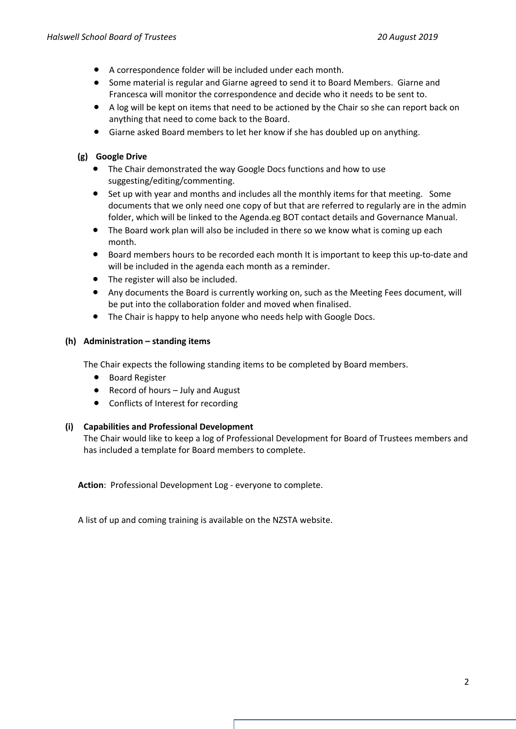- A correspondence folder will be included under each month.
- Some material is regular and Giarne agreed to send it to Board Members. Giarne and Francesca will monitor the correspondence and decide who it needs to be sent to.
- A log will be kept on items that need to be actioned by the Chair so she can report back on anything that need to come back to the Board.
- Giarne asked Board members to let her know if she has doubled up on anything.

### **(g) Google Drive**

- The Chair demonstrated the way Google Docs functions and how to use suggesting/editing/commenting.
- Set up with year and months and includes all the monthly items for that meeting. Some documents that we only need one copy of but that are referred to regularly are in the admin folder, which will be linked to the Agenda.eg BOT contact details and Governance Manual.
- The Board work plan will also be included in there so we know what is coming up each month.
- Board members hours to be recorded each month It is important to keep this up-to-date and will be included in the agenda each month as a reminder.
- The register will also be included.
- Any documents the Board is currently working on, such as the Meeting Fees document, will be put into the collaboration folder and moved when finalised.
- The Chair is happy to help anyone who needs help with Google Docs.

### **(h) Administration – standing items**

The Chair expects the following standing items to be completed by Board members.

- Board Register
- Record of hours July and August
- Conflicts of Interest for recording

#### **(i) Capabilities and Professional Development**

The Chair would like to keep a log of Professional Development for Board of Trustees members and has included a template for Board members to complete.

**Action**: Professional Development Log - everyone to complete.

A list of up and coming training is available on the NZSTA website.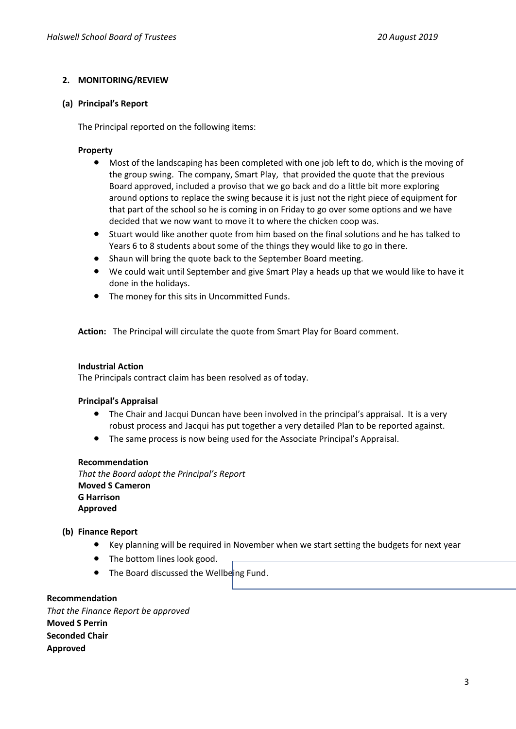# **2. MONITORING/REVIEW**

#### **(a) Principal's Report**

The Principal reported on the following items:

#### **Property**

- Most of the landscaping has been completed with one job left to do, which is the moving of the group swing. The company, Smart Play, that provided the quote that the previous Board approved, included a proviso that we go back and do a little bit more exploring around options to replace the swing because it is just not the right piece of equipment for that part of the school so he is coming in on Friday to go over some options and we have decided that we now want to move it to where the chicken coop was.
- Stuart would like another quote from him based on the final solutions and he has talked to Years 6 to 8 students about some of the things they would like to go in there.
- Shaun will bring the quote back to the September Board meeting.
- We could wait until September and give Smart Play a heads up that we would like to have it done in the holidays.
- The money for this sits in Uncommitted Funds.

**Action:** The Principal will circulate the quote from Smart Play for Board comment.

#### **Industrial Action**

The Principals contract claim has been resolved as of today.

#### **Principal's Appraisal**

- The Chair and Jacqui Duncan have been involved in the principal's appraisal. It is a very robust process and Jacqui has put together a very detailed Plan to be reported against.
- The same process is now being used for the Associate Principal's Appraisal.

#### **Recommendation**

*That the Board adopt the Principal's Report* **Moved S Cameron G Harrison Approved**

#### **(b) Finance Report**

- Key planning will be required in November when we start setting the budgets for next year
- The bottom lines look good.
- The Board discussed the Wellbeing Fund.

**Recommendation**

*That the Finance Report be approved* **Moved S Perrin Seconded Chair Approved**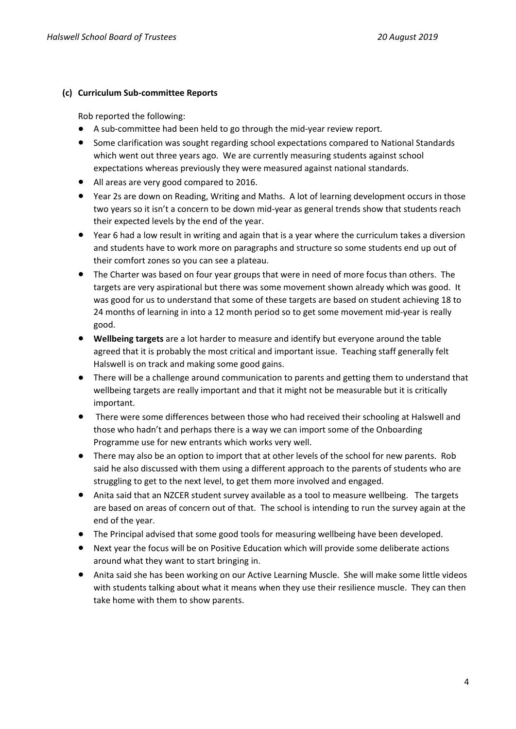# **(c) Curriculum Sub-committee Reports**

Rob reported the following:

- A sub-committee had been held to go through the mid-year review report.
- Some clarification was sought regarding school expectations compared to National Standards which went out three years ago. We are currently measuring students against school expectations whereas previously they were measured against national standards.
- All areas are very good compared to 2016.
- Year 2s are down on Reading, Writing and Maths. A lot of learning development occurs in those two years so it isn't a concern to be down mid-year as general trends show that students reach their expected levels by the end of the year.
- Year 6 had a low result in writing and again that is a year where the curriculum takes a diversion and students have to work more on paragraphs and structure so some students end up out of their comfort zones so you can see a plateau.
- The Charter was based on four year groups that were in need of more focus than others. The targets are very aspirational but there was some movement shown already which was good. It was good for us to understand that some of these targets are based on student achieving 18 to 24 months of learning in into a 12 month period so to get some movement mid-year is really good.
- **Wellbeing targets** are a lot harder to measure and identify but everyone around the table agreed that it is probably the most critical and important issue. Teaching staff generally felt Halswell is on track and making some good gains.
- There will be a challenge around communication to parents and getting them to understand that wellbeing targets are really important and that it might not be measurable but it is critically important.
- There were some differences between those who had received their schooling at Halswell and those who hadn't and perhaps there is a way we can import some of the Onboarding Programme use for new entrants which works very well.
- There may also be an option to import that at other levels of the school for new parents. Rob said he also discussed with them using a different approach to the parents of students who are struggling to get to the next level, to get them more involved and engaged.
- Anita said that an NZCER student survey available as a tool to measure wellbeing. The targets are based on areas of concern out of that. The school is intending to run the survey again at the end of the year.
- The Principal advised that some good tools for measuring wellbeing have been developed.
- Next year the focus will be on Positive Education which will provide some deliberate actions around what they want to start bringing in.
- Anita said she has been working on our Active Learning Muscle. She will make some little videos with students talking about what it means when they use their resilience muscle. They can then take home with them to show parents.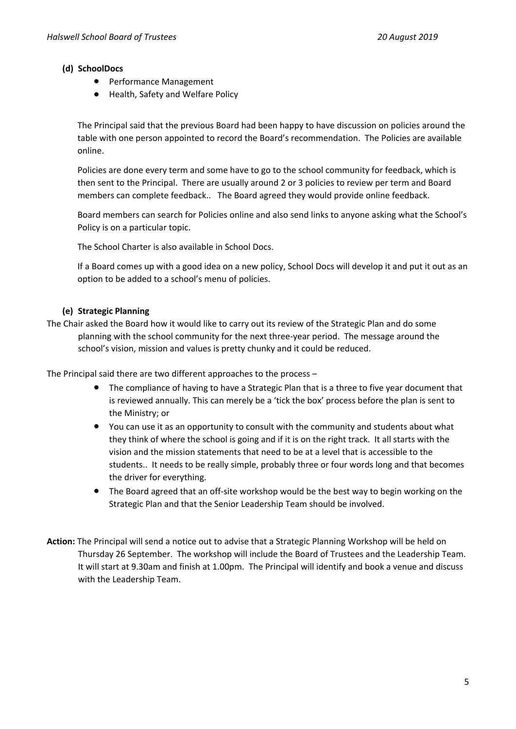# **(d) SchoolDocs**

- Performance Management
- Health, Safety and Welfare Policy

The Principal said that the previous Board had been happy to have discussion on policies around the table with one person appointed to record the Board's recommendation. The Policies are available online.

Policies are done every term and some have to go to the school community for feedback, which is then sent to the Principal. There are usually around 2 or 3 policies to review per term and Board members can complete feedback.. The Board agreed they would provide online feedback.

Board members can search for Policies online and also send links to anyone asking what the School's Policy is on a particular topic.

The School Charter is also available in School Docs.

If a Board comes up with a good idea on a new policy, School Docs will develop it and put it out as an option to be added to a school's menu of policies.

# **(e) Strategic Planning**

The Chair asked the Board how it would like to carry out its review of the Strategic Plan and do some planning with the school community for the next three-year period. The message around the school's vision, mission and values is pretty chunky and it could be reduced.

The Principal said there are two different approaches to the process –

- The compliance of having to have a Strategic Plan that is a three to five year document that is reviewed annually. This can merely be a 'tick the box' process before the plan is sent to the Ministry; or
- You can use it as an opportunity to consult with the community and students about what they think of where the school is going and if it is on the right track. It all starts with the vision and the mission statements that need to be at a level that is accessible to the students.. It needs to be really simple, probably three or four words long and that becomes the driver for everything.
- The Board agreed that an off-site workshop would be the best way to begin working on the Strategic Plan and that the Senior Leadership Team should be involved.
- **Action:** The Principal will send a notice out to advise that a Strategic Planning Workshop will be held on Thursday 26 September. The workshop will include the Board of Trustees and the Leadership Team. It will start at 9.30am and finish at 1.00pm. The Principal will identify and book a venue and discuss with the Leadership Team.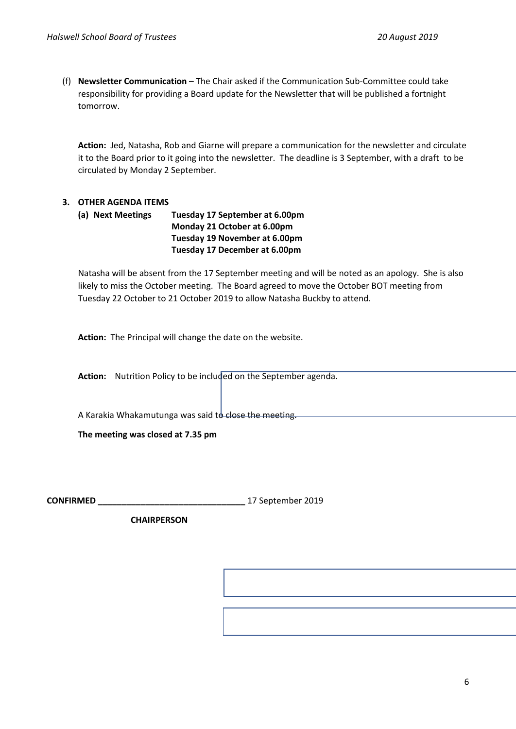(f) **Newsletter Communication** – The Chair asked if the Communication Sub-Committee could take responsibility for providing a Board update for the Newsletter that will be published a fortnight tomorrow.

**Action:** Jed, Natasha, Rob and Giarne will prepare a communication for the newsletter and circulate it to the Board prior to it going into the newsletter. The deadline is 3 September, with a draft to be circulated by Monday 2 September.

# **3. OTHER AGENDA ITEMS**

**(a) Next Meetings Tuesday 17 September at 6.00pm Monday 21 October at 6.00pm Tuesday 19 November at 6.00pm Tuesday 17 December at 6.00pm**

Natasha will be absent from the 17 September meeting and will be noted as an apology. She is also likely to miss the October meeting. The Board agreed to move the October BOT meeting from Tuesday 22 October to 21 October 2019 to allow Natasha Buckby to attend.

**Action:** The Principal will change the date on the website.

**Action:** Nutrition Policy to be included on the September agenda.

A Karakia Whakamutunga was said to close the meeting.

**The meeting was closed at 7.35 pm**

**CONFIRMED \_\_\_\_\_\_\_\_\_\_\_\_\_\_\_\_\_\_\_\_\_\_\_\_\_\_\_\_\_\_\_** 17 September 2019

 **CHAIRPERSON**